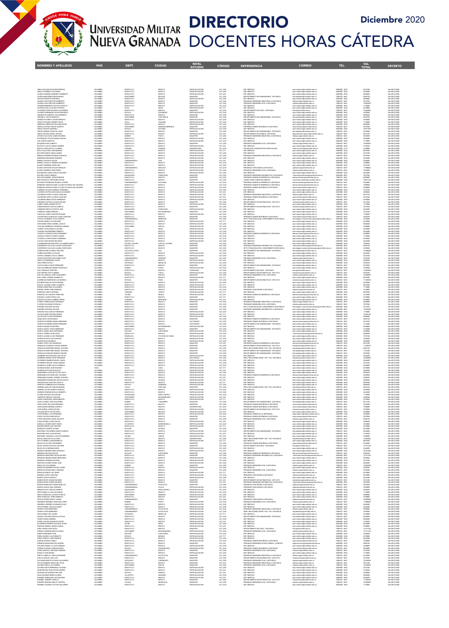

NOMBRES Y APELLIDOS PAÍS DEPT. CIUDAD NIVEL

## DIRECTORIO DOCENTES HORAS CATEDRA Diciembre 2020

ESTUDIO CÓDIGO DEPENDENCIA CORREO TEL. DECRETO VAL

TOTAL

| ABRIL GALEANO GIOVANNI ENRIQUE<br>ABRIL GUTIERREZ LUIS DANIEL<br>ACUÑA CORDERO RANNIERY HUMBERTO                                                     | COLOMBIA<br>COLOMBIA<br>COLOMBIA             | BOGOTA D.C<br>BOGOTA D.C<br>BOGOTA D.C            | <b>BOGOTA</b><br>BOGOTA<br>BOGOTA                      | <b>ESPECIALIZACION</b><br>ESPECIALIZACION<br>ESPECIALIZACION        | CAT ASO<br>CAT_ASD<br>CAT_ASI            | ESP. MEDICAS<br>ESP. MEDICAS<br>ESP. MEDICAS                                                                                                                         | iost medicina@unimilitar.edu.cc<br>iost medicina@unimilitar.edu.cc                                                                                     | 6500000 - 2042<br>6500000 - 2042<br>6500000 - 2042                   | 4257440<br>4644480<br><b><i>ANARA</i></b> | Res 0010/2020<br>Res 0010/2020<br>Res 0010/2020                  |
|------------------------------------------------------------------------------------------------------------------------------------------------------|----------------------------------------------|---------------------------------------------------|--------------------------------------------------------|---------------------------------------------------------------------|------------------------------------------|----------------------------------------------------------------------------------------------------------------------------------------------------------------------|--------------------------------------------------------------------------------------------------------------------------------------------------------|----------------------------------------------------------------------|-------------------------------------------|------------------------------------------------------------------|
|                                                                                                                                                      | COLOMBIA<br>OL OMRE                          | <b>CANTANDER</b><br><b>DOOTA DI</b>               | MALAG                                                  | <b>MCKTFR</b><br>SPECIAL (ZACIO)                                    |                                          | DEPARTAMENTO DE HUMANIDADES - DISTANCIA<br>SP. MEDICAS                                                                                                               | umanidades@unimilitar.edu.c<br>ost.medicina@unimilitar.edu.c                                                                                           | -------<br>7480333 - 6841<br>6500000 - 2042                          | 6966720                                   | Res 0010/202<br>Res 0010/202                                     |
| ACUÑA MONTAÑEZ NIEVES MARIA<br>ADOLPHS MONTES GERARDO<br>AGUDELO DIAZ NESTOR HUMBERTO<br>AGUDELO DIAZ NESTOR HUMBERTO                                | COLOMBIA                                     | BOGOTA D.C<br>BOGOTA D.C                          | BOGOTA<br>BOGOTA                                       | MAGISTER<br>MAGISTER                                                | CAT_ASD<br>CAT_ASD<br>CAT_ASD<br>CAT_ASD | PREGRADO INGENIERIA INDUSTRIAL A DISTANCIA<br>PREGRADO INGENIERIA CIVIL A DISTANCIA                                                                                  | distancia@unimilitar.edu.co<br>icdistancia@unimilitar.edu.co                                                                                           | 480333 - 684<br>7480333 - 684                                        | 2612520<br>1906260                        | Res 0010/202<br>Res 0010/2020                                    |
| AGUIRRE BERMUDEZ GUSTAVO ADOLFO<br>ALARCON AVILA CLAUDIA PATRICIA<br>ALVARADO PUENTES KEIDY ALEJANDRA                                                | COLOMBIA<br>COLOMBIA<br>COLOMBIA             | BOGOTA D.C.<br>HUILA<br>BOGOTA D.C.               | BOGOTA<br>NEIVA<br>BOGOTA                              | <b>ESPECIALIZACION</b><br>ESPECIALIZACION<br>MAGISTER               | CAT_AUX<br>CAT_TIT<br>CAT_ASO            | ESP. MEDICAS<br>ESP. MEDICAS<br>DEPARTAMENTO DE FISICA - DISTANCIA                                                                                                   | post medicina@unimilitar.edu.cr<br>ost medicina@unimilitar.edu.co<br>fisica@unimilitar.edu.co                                                          | 6500000 - 2042<br>6500000 - 2042<br>7480333 - 6841                   | 1776000<br>6478080<br>13062600            | Res 0010/2020<br>Res 0010/2020<br>Res 0010/2020                  |
| ALVAREZ FERNANDEZ OSCAR MAURICIO<br>AMADOR PATARROYO JULIO ROBERTO                                                                                   | COLOMBIA<br>COLOMBIA                         | BOYACA<br>BOGOTA D.C.                             | SOGAMOSO<br>BOGOTA                                     | <b>ESPECIALIZACION</b><br>MAGISTER                                  | CAT AUX<br>CAT ASO                       | ESP. MEDICAS<br>ESP. MEDICAS                                                                                                                                         | post.medicina@unimilitar.edu.co<br>post.medicina@unimilitar.edu.co<br>humanidades@unimilitar.edu.co<br>post.medicina@unimilitar.edu.co                 | 6500000 - 2042<br>6500000 - 2042                                     | 3552000<br>5805600                        | Res 0010/2020<br>Res 0010/2020                                   |
| -<br>ANGARITA OSCAR GONZALO<br>ARANGO PILONIETA CESAR ERNESTO<br>ARAUJO POLANIA ANDRES FELIPE                                                        | COLOMBIA<br>COLOMBIA<br>COLOMBIA<br>COLOMBIA | SANTANDER<br>BOGOTA D.C                           | CAPITANEJO<br>BOGOTA                                   | MAGISTER<br>ESPECIALIZACION<br>ESPECIALIZACION                      | CAT_ASD<br>CAT_AUX<br>CAT_AUX<br>CAT_ASD | DEPARTAMENTO DE HUMANIDADES - DISTANCIA<br>ESP. MEDICAS                                                                                                              |                                                                                                                                                        | 7480333 - 684<br>5500000 - 204<br>6500000 - 2042                     | 6066720<br>1001000<br>1776000             | Res 0010/2020                                                    |
| ARBELAEZ ARBELAEZ WILLIAM RAFAEI<br>AROILA CASTRO CARLOS ALBERTO<br>AROILA DUARTE GERARDO                                                            | COLOMBIA<br>COLOMBIA                         | HUILA<br>BOGOTA D.C.<br>SANTANDER<br>BOYACA       | YAGUARA<br>BOGOTA<br>BARRANCABERMEJA<br><b>DUITAMA</b> | ESPECIALIZACION<br>MAGISTER<br><b>ESPECIALIZACION</b>               | CAT_ASO<br>CAT_ASO                       | ESP. MEDICAS<br>ESP. MEDICAS<br>PREGRADO ADMON SEGURIDAD A DISTANCIA<br>ESP. MEDICAS                                                                                 | xxatmedicina@unimilitar.edu.co<br>xxatmedicina@unimilitar.edu.co<br>asso distancia@unimilitar.edu.cc<br>post medicina@unimilitar.edu.co                | 6500000 - 2042<br>7480333 - 6841<br>6500000 - 2042                   | 5805600<br>7837560<br>18577920            | Res 0010/2020<br>Res 0010/2020<br>Res 0010/2020                  |
| AREIZA ARENAS CESAR DE JESUS<br>ARIAS CAICEDO DANIEL ARTURO                                                                                          | COLOMBIA<br>COLOMBIA                         | BOGOTA D.C.<br>BOGOTA D.C.                        | BOGOTA<br>BOGOTA                                       | MAGISTER<br><b>ESPECIALIZACION</b>                                  | CAT_ASO<br>CAT ASI                       | DEPARTAMENTO DE HUMANIDADES - DISTANCIA<br>DEPARTAMENTO DE OUIMICA - DISTANCIA                                                                                       | sumanidades@unimilitar.edu.co<br>departamento.quimica@unimilitar.edu.co                                                                                | 7480333 - 6841<br>7480333 - 6841                                     | 5225040<br>4815720                        | Res 0010/2020<br>Res 0010/2020                                   |
| ARING CALVACHE JAIME EDUARDO<br>ARTURO CALVACHE JAIME EDUARDO<br>ASTORQUIZA CHAVEZ MARIA HELENA<br>AVILA NETO MARITZA                                | COLOMBIA<br>COLOMBIA<br>COLOMBIA             | NARINO<br>BOGOTA D.C.<br>BOGOTA D.C.              | PASTO<br>BOGOTA<br>BOGOTA                              | MAGISTER<br>ESPECIALIZACION<br><b>ESPECIALIZACION</b>               | CAT_ASD<br>CAT_ASD<br>CAT_AUX            | REGRADO INGENIERIA INDUSTRIAL A DISTANCIA<br>ESP. MEDICAS<br>ESP. MEDICAS                                                                                            | distancia@unimilitar.edu.co<br>post.medicina@unimilitar.edu.co<br>post medicina@unimilitar.edu.co                                                      | 7480333 - 684<br>6500000 - 2042<br>6500000 - 2042                    | 522504<br>4644480<br>1776000              | Res 0010/202<br>Res 0010/2020<br>Res 0010/2020                   |
| BAQUERO VEGA ALBERTO                                                                                                                                 | COLOMBIA<br>COLOMBIA<br>PANAMA               | BOGOTA D.C.<br><b>BOGOTA D.C.</b><br>PANAMA       | BOGOTA<br>BOGOTA<br>PANAM                              | MAGISTER<br>ESPECIALIZACION<br>UNIVERSITARIO                        | CAT ASO                                  | PREGRADO INGENIERIA CIVIL A DISTANCIA<br>PREMING THEORY<br>ESP. MEDICAS<br>TECNOLOGIA ATENCION PRE HOSPITALARIA                                                      | icdistancia@unimilitar.edu.co<br>post.medicina@unimilitar.edu.c<br>medicina.social@unimilitar.edu.c<br>medicina.social@unimilitar.edu.                 | 7480333 - 6841<br>6500000 - 2042<br>6500000 - 3197                   | 16545960<br>2140320<br>2220030            | Res 0010/2020<br>Res 0010/2020<br>Res 0010/2020<br>Res 0010/2020 |
| BAUTISTA VACCA CAMILO ANDRES<br>BEDOYA YEPES PAGLA CLARENA<br>BELLO GUALTERO JUAN MANUEL<br>BELTRAN DIMAS CAMILA MARIA                               | COLOMBIA<br>COLOMBIA                         | BOGOTA D.C<br>BOGOTA D.C.                         | BOGOTA<br>BOGOTA                                       | ESPECIALIZACION<br>ESPECIALIZACION                                  | CAT_ASI<br>CAT_ASI<br>CAT_TIT<br>CAT_ASO | ESP. MEDICAS<br>ESP. MEDICAS                                                                                                                                         | post.medicina@unimilitar.edu.co<br>post medicina@unimilitar.edu.co                                                                                     | 6500000 - 2042<br>6500000 - 2042                                     | 8097600<br>4257440                        | Res 0010/2020<br>Res 0010/2020                                   |
| BERDUGO ROMERO EDWING OSWALDO<br>BERMUDEZ MELENDEZ RODRIGO                                                                                           | COLOMBIA<br>COLOMBIA                         | BOGOTA D.C.<br>BOGOTA D.C.<br>CUNDINAMARCA        | BOGOTA<br>BOGOTA                                       | <b>ESPECIALIZACION</b><br>ESPECIALIZACIÓN                           | CAT ASO<br>CAT_ASD<br>CAT_ASD<br>CAT_ASI | PREGRADO INGENIERIA INDUSTRIAL A DISTANCIA<br>ESP. MEDICAS                                                                                                           | distancia@unimilitar.edu.co                                                                                                                            | 7480333 - 6841                                                       | 9579240<br>4644480                        | Res 0010/2020                                                    |
| BERNAL PACHECO OSCAR<br>BERNAL TRUJILLO GERMAN LEONARDO                                                                                              | COLOMBIA<br>COLOMBIA                         | BOGOTA D.C.                                       | CHIA<br>BOGOTA                                         | <b>ESPECIALIZACION</b>                                              | CAT_AUX                                  | ESP. MEDICAS                                                                                                                                                         | oost medicina@unimilitar.edu.co<br>oost medicina@unimilitar.edu.co<br>post medicina@unimilitar.edu.co<br>post medicina@unimilitar.edu.co               | 6500000 - 2042<br>6500000 - 2042<br>6500000 - 2042                   | 4280640<br>2368000                        | Res 0010/2020<br>Res 0010/2020<br>Res 0010/2020                  |
| BLANCO FERREIRA KAROLYNA<br>BLANCO ORTEGON OSCAR OSWALDO<br>BLANCO ROMERO JOSE PEDRO                                                                 | COLOMBIA<br>COLOMBIA<br>COLOMFIA             | BOGOTA D.C.<br>CUNDINAMARCA<br>BOCOTA D.C.        | BOGOTA<br>SIMUACA<br>BOGOTA                            | <b>ESPECIALIZACION</b><br><b>ESPECIALIZACION</b>                    | CAT_ASO<br>CAT AUX                       | ESP. MEDICAS<br>PRECRADO CONTADURIA A DISTANCIA<br>REGRADO INGENIERIA CIVIL A DISTANCIA                                                                              | .<br>cpdistancia@unimiltar.edu.co<br>icdistancia@unimiltar.edu.co                                                                                      | 6500000 - 2042<br>7480333 - 6841<br>7480333 - 684                    | 2322240<br>11988000                       | Res 0010/2020<br>Res 0010/2020<br>Res 0010/2020                  |
| BOHORQUEZ YUNIS CARLOS EDUARDO<br>BOLAÑO LOPEZ FABRIZIO                                                                                              | COLOMBIA<br>COLOMBIA                         | BOGOTA D.C<br>MAGDALENA                           | BOGOTA<br><b>FUNDACION</b>                             | ESPECIALIZACIÓN<br>MAGISTER                                         | CAT_AUX<br>CAT_AUX<br>CAT_ASO            | ESP. MEDICAS<br>PRECRADO INCENIERIA INFORMATICA A DISTANCIA                                                                                                          | post.medicina@unimilitar.edu.cr<br>informatica distancia@unimilitar.edu.co                                                                             | 6500000 - 2042<br>6500000 - 8001                                     | 4644480<br>7837560                        | Res 0010/2020<br>Res 0010/2020                                   |
| BOLIVAR RAMREZ JORGE ENRIQUE<br>BUILTON NETO STEPHANE DAYAN<br>BUITRAGO RODRIGUEZ BLANCA AURORA<br>BURBANO VARGAS HALMA CLAUDIA PATRICIA DEL ROSARIO | COLOMBIA<br>COLOMBIA<br>OL CAARL             | BOGOTA D.C.<br><b>BOGOTA D.C.</b><br>CUNDINAMARCA | BOGOTA<br>BOCOTA                                       | MAGISTER<br>MAGISTER<br>ESPECIALIZACION<br>ESPECIALIZACION          | CAT ASO<br>CAT_ASD<br>CAT_ASD<br>CAT_ALX | PRECRADO ADMON DE EMPRESAS A DISTANCIA<br>PREGRADO ADMON DE EMPRESAS A DISTANCIA<br>PREGRADO ADMON DE EMPRESAS A DISTANCIA<br>PREGRADO ADMON DE EMPRESAS A DISTANCIA | admon.distancia@unimilitar.edu.co<br>consultorio, juridico@unimilitar.edu.co<br>admon.distancia@unimilitar.edu.co<br>admon.distancia@unimilitar.edu.co | 7480333 - 6841<br>6500000 - 3205<br>7480333 - 6841                   | 6095880<br>1083712                        | Res 0010/2020<br>Pes 0010/2020<br>Res 0010/2020<br>Res 0010/2020 |
| BURBANO VARGAS HALMA CLAUDIA PATRICIA DEL ROSARIO                                                                                                    | COLOMBIA<br>COLOMBIA                         | BOGOTA D.C.<br>BOGOTA D.C.                        | GUAYABA<br>GUAYABA<br>BOGOTA<br>BOGOTA                 | <b>ESPECIALIZACION</b>                                              | CAT_AUX                                  | PREGRADO ADMON SEGURIDAD A DISTANCIA                                                                                                                                 | asso.distancia@unimilitar.edu.co                                                                                                                       | 7480333 - 684<br>7480333 - 6841                                      | 1998000<br>3996000                        | Res 0010/2020                                                    |
| CABRERA VILLEGAS MANUEL FERNANDO<br>CACERES CASTRILLON DOUGLAS ALDEMAR<br>CACERES CASTRILLON DOUGLAS ALDEMAR                                         | COLOMBIA<br>COLOMFIA<br>COLOMBIA             | BOGOTA D.C.<br>ROGOTA D.C<br>BOGOTA D.C           | BOGOTA<br>BOCOTA<br>BOGOTA                             | ESPECIALIZACION<br>ESPECIALIZACION<br>ESPECIALIZACION               | CAT ASO<br>CAT_ASI<br>CAT_ASI            | ESP. MEDICAS<br>ESP. MEDICAS<br>ESP. MEDICAS<br>PREGRADO INGENIERIA INDUSTRIAL A DISTANCIA                                                                           | post.medicina@unimilitar.edu.co<br>post.medicina@unimilitar.edu.co<br>iidistancia@unimilitar.edu.co                                                    | 6500000 - 2042<br>Store - ones<br>7480333 - 684                      | 5757220<br>4815720                        | Res 0010/2020<br>Res 0010/2020<br>Res 0010/2020                  |
| CALDERON LOPEZ CLAUDIA CAROLINA<br>CALDERON URIBE OSCAR HERNANDO                                                                                     | COLOMBIA<br>COLOMBIA                         | BOGOTA D.C<br>BOGOTA D.C                          | BOGOTA<br>BOGOTA                                       | <b>ESPECIALIZACION</b><br><b>ESPECIALIZACION</b>                    | CAT_ASI<br>CAT_AUX                       | PREGRADO ADMON SEGURIDAD A DISTANCIA<br>ESP. MEDICAS                                                                                                                 | asso.distancia@unimilitar.edu.co<br>post.medicina@unimilitar.edu.co                                                                                    | 7480333 - 6841<br>6500000 - 2042                                     | 5618340<br>3552000                        | Res 0010/2020<br>Res 0010/2020                                   |
| CAMARGO CASTRO CLAUDIA HELENA<br>CANNO CABRA ANDRES FELIPE<br>CANNO CABRA ANDRES FELIPE<br>CAÑON RINCON CARLOS ALBERTO                               | COLOMBIA<br>COLOM <sup>PAS</sup>             | BOGOTA D.C.<br>BOGOTA D.C<br>BOGOTA D.C.          | BOGOTA<br>BOCOTA                                       | MAGISTER<br>ESPECIALIZACION                                         | CAT ASO<br>CAT_AUX<br>CAT_AUX            | DEPARTAMENTO DE MATEMATICAS - DIST 2013<br>ESP. MEDICAS<br>ESP. MEDICAS<br>DEPARTAMENTO DE MATEMATICAS - DIST 2013                                                   | natematicas@unimilitar.edu.co                                                                                                                          | 7480333 - 6841                                                       | 2612520<br>177600                         | Res 0010/2020<br>Pas 0010/2020<br>Res 0010/2020                  |
| CARMONA PERTUZ VICENTE JOSE<br>CARRENO JAIMES MARISOL                                                                                                | COLOMBIA<br>COLOMBIA<br>COLOMBIA             | MAGDALENA<br>SANTANDER                            | BOGOTA<br><b>FUNDACION</b><br><b>BUCARAMANGA</b>       | MAGISTER<br><b>ESPECIALIZACION</b><br>MAGISTER                      | CAT_ASO<br>CAT ASO                       | ESP. MEDICAS<br>ESP. MEDICAS                                                                                                                                         | post.medicina@unimilitar.edu.co<br>matematicas@unimilitar.edu.co<br>post.medicina@unimilitar.edu.co<br>ost.medicina@unimilitar.edu.co                  | 7480333 - 6841<br>6500000 - 2042<br>6500000 - 2042                   | 7837560<br>4644480<br>2322240             | Res 0010/2020<br>Res 0010/2020                                   |
| CARVAJAL PEREZ IVON ESTEPHANIE<br>CASTIBLANCO GONZALEZ LAURA CAROLINA<br>CASTILLO RAMIREZ JULIO ALBERTO                                              | COLOMBIA<br>COLOMBIA                         | BOGOTA D.C<br>BOGOTA D.C                          | BOGOTA                                                 | ESPECIALIZACION<br>MAGISTER                                         | CAT_AUX<br>CAT_AUX<br>CAT_ASO            | -<br>ESP. MEDICAS<br>PREGRADO ADMON SEGURIDAD A DISTANCIA                                                                                                            | .<br>2014 medicina@unimilitar.edu.co<br>2020 distancia@unimilitar.edu.co                                                                               | 6500000 - 2042<br>7480333 - 6841                                     | 1184000<br>3483360                        | Res 0010/2020<br>Res 0010/2020<br>Res 0010/2020                  |
| CASTRO GOMEZ LUIS ANTONIO<br>CENTANARO MEZA GABRIEL ADOLFO                                                                                           | COLOMBIA<br>COLOMBIA<br>COLOMBIA             | <b>CUNDINAMARCA</b><br>BOGOTA D.C.<br>BOGOTA D.C. | NEMOCOR<br>BOGOTA<br>BOGOTA                            | MAGISTER<br><b>ESPECIALIZACION</b><br>ESPECIALIZACION               | CAT_TIT<br>CAT ASO                       | DPTO TECNOLIGIAS DEL CONOCIMIENTO (DISTANCIA)<br>ESP. MEDICAS<br>ESP. MEDICAS                                                                                        | enologias conocimientocampus@<br>post medicina@unimilitar.edu.co<br>cost.medicina@unimilitar.edu.cr                                                    | 6500000 - 3042<br>6500000 - 2042<br>6500000 - 2042                   | 5225040<br>6478080<br>5805600             | Res 0010/2020<br>Res 0010/2020<br>Res 0010/2020                  |
| CHACON ZAMBRANO LEONARDO ANDRES<br>CHARRY LOPEZ MARCO LUCIANO                                                                                        | COLOMBIA<br>COLOMBIA                         | SANTANDER<br>HUILA                                | SAN GI<br>NEIVA                                        | ESPECIALIZACIÓN<br>ESPECIALIZACIÓN                                  | CAT_AUX<br>CAT_AUX                       | ESP. MEDICAS                                                                                                                                                         | post.medicina@unimilitar.edu.co<br>post.medicina@unimilitar.edu.co<br>post.medicina@unimilitar.edu.co                                                  | 6500000 - 2042<br>6500000 - 2042                                     | 3552000                                   | Pas 0010/2020<br>Res 0010/2020                                   |
| CHASKEL HEILBRONNER ROBERTO<br>CHAVES ALVARADO DIANA FERNANDA<br>CHIQUILLO ESPITIA ANGELA MARIA                                                      | COLOMBIA<br>COLOMBIA<br>COLOMBIA             | BOGOTA D.C.<br>BOGOTA D.C<br>BOGOTA D.C           | BOGOTA<br>BOGOTA<br>BOGOTA                             | <b>ESPECIALIZACION</b><br>ESPECIALIZACION<br>ESPECIALIZACION        | CAT_ASO<br>CAT_AUX<br>CAT AUX            | ESP. MEDICAS<br>PREGRADO ADMON DE EMPRESAS A DISTANCIA<br>ESP. MEDICAS                                                                                               | post medicina@unimilitar.edu.co<br>admon.distancia@unimilitar.edu.co<br>oost medicina@unimilitar.edu.cc                                                | 6500000 - 2042<br>7480333 - 6841<br>6500000 - 2042                   | 4644480<br>6660000<br>1776000             | Res 0010/2020<br>Res 0010/2020<br>Res 0010/2020                  |
| CITARELLA OTERO DANILO ARMANDO<br>CITARELLA OTERO DANILO ARMANDO                                                                                     | COLOMBIA<br>COLOMBIA                         | BOGOTA D.O<br>BOGOTA D.C                          | BOCOTA<br>BOGOTA                                       | ESPECIALIZACION<br>ESPECIALIZACION                                  | CAT_AUX<br>CAT_AUX                       | ESP. MEDICAS<br>ESP. MEDICAS                                                                                                                                         | post.medicina@unimilitar.edu.co<br>post.medicina@unimilitar.edu.co<br>post.medicina@unimilitar.edu.co                                                  | 6500000 - 2042                                                       | 3552000<br>464480                         | Res 0010/202<br>Res 0010/2020                                    |
| COLMENARES BETANCOURT ALEJANDRO EMILIO<br>CONTRERAS CALLEJAS LILIANA CONSTANZA                                                                       | <b>VENEZUELA</b><br>COLOMBIA                 | ESTADO TACHIRA<br>BOGOTA D.C.<br>BOCOTA D.C       | CAPITAL TACHIRA<br>BOGOTA                              | MAGISTER<br>MAGISTER                                                | CAT_ASO<br>CAT ASO                       | ESP. MEDICAS<br><b>PRECRADO INCENIERIA INFORMATICA A DISTANCIA</b>                                                                                                   | post medicina@unimilitar.edu.co<br>informatica distancia@unimilitar.edu.co                                                                             | 6500000 - 2042<br>6500000 - 8001                                     | 7450520<br>6966720                        | Res 0010/2020<br>Res 0010/2020                                   |
| CONTRERAS CALLEJAS LILIANA CONSTANZA<br>CORRALES MEJA MARIA CRISTINA<br>CORREA MAZUERA CATALINA                                                      | COLOMBIA<br>COLOMBIA<br>COLOMBIA             | ALLE DEL CAUCA<br>BOGOTA D.C.                     | BOGOTA<br>BOGOTA                                       | MAGISTER<br>MAGISTER<br>MAGISTER<br>ESPECIALIZACION                 | CAT_ASD<br>CAT_ASD<br>CAT_ASD            | DPTO TECNOLIGIAS DEL CONOCIMIENTO (DISTANCIA)<br>DEPARTAMENTO DE HUMANIDADES - DISTANCIA<br>ESP. MEDICAS                                                             | post medicina@unimilitar.edu.co                                                                                                                        | 6500000 - 304<br>7480333 - 684<br>6500000 - 2042                     | 4644480                                   | Pes 0010/2020<br>Res 0010/2020<br>Res 0010/2020                  |
| CORTES JARAMILLO ELSA JIMENA<br>CORTES OUINTERO GUILLERMO LEON                                                                                       | COLOMBIA<br>COLOMBIA                         | BOGOTA D.C.<br>CUNDINAMARCA                       | BOGOTA<br>GIRARDOT                                     | <b>ESPECIALIZACION</b><br>MAGISTER                                  | CAT_ASO<br>CAT ASO                       | ESP. MEDICAS<br>PRECRADO INCENIERIA CIVIL A DISTANCIA                                                                                                                | post medicina@unimilitar.edu.co<br>contenciado rimitar edu co                                                                                          | 6500000 - 2042<br>7480333 - 6841                                     | 4257440<br>7837560                        | Res 0010/2020<br>Res 0010/2020                                   |
| CRISTO COLMENARES JAVIER<br>CRUZ PEREZ NATALY<br>CUCAITA MELO OSCAR FERNANDO                                                                         | COLOMBIA<br>COLOMBIA                         | OCOTA D.C<br>ANTIOQUIA<br>BOGOTA D.C.             | BOGOTA<br>MEDELLIN<br>BOGOTA                           | ESPECIALIZACIO<br>ESPECIALIZACION<br>MAGISTER                       | CAT_ASI<br>CAT_ASI<br>CAT_ASO            | ESP. MEDICAS<br>DEPARTAMENTO DE HUMANIDADES - DISTANCIA                                                                                                              | post.medicina@unimilitar.edu.co<br>post.medicina@unimilitar.edu.co<br>umanidades@unimilitar.edu.co                                                     | 6500000 - 204<br>6500000 - 2042<br>7480333 - 6841                    | 3096320<br>5225040                        | Res 0010/202<br>Res 0010/2020<br>Res 0010/2020                   |
| CUELLAR ENRIQUEZ MARIO FRANCISCO<br>DIAZ CONZALEZ CRISTINA                                                                                           | COLOMBIA<br>COLOMBIA                         | NARINO<br>BOGOTA D.C.                             | PASTO<br>BOGOTA                                        | <b>ESPECIALIZACION</b><br>LICENCIADO                                | CAT_AUX<br>CAT ASD                       | ESP. MEDICAS<br>DEPARTAMENTO DE FISICA - DISTANCIA                                                                                                                   | post medicina@unimilitar.edu.co<br>sica@unimilitar.edu.co                                                                                              | 6500000 - 2042<br>7480333 - 6841                                     | 3552000<br>13062600                       | Res 0010/2020<br>Res 0010/2020                                   |
| DIAZ PINZON YETZA XIMENA<br>DIAZ PINZON YETZA XIMENA<br>DIAZ VILLARRAGA JARO ALEXANDER                                                               | COLOMBIA<br>COLOMBIA                         | BOYACA<br>BOGOTA D.C.                             | TUNJA<br>BOGOTA                                        | SPECIALIZACION<br>MAGISTER                                          | CAT_ASO<br>CAT_ASO                       | DEPARTAMENTO DE MATEMATICAS - DIST 2013<br>PREGRADO INGENIERIA CIVIL A DISTANCIA                                                                                     | matematicas@unimilitar.edu.co<br>icdistancia@unimilitar.edu.co                                                                                         | 480333-684<br>7480333 - 6841                                         | 1570240<br>10450080                       | Res 0010/202<br>Res 0010/2020                                    |
| DIAZ YAMAL IVONNE JEANNETTE<br>ELORREAGA RODRIGUEZ LUZ MARICEL                                                                                       | COLOMBIA<br>COLOMBIA                         | BOGOTA D.C.<br>BOYACA                             | BOGOTA<br>PAIPA                                        | <b>ESPECIALIZACION</b><br>MAGISTER                                  | CAT_TIT<br>CAT ASO                       | ESP. MEDICAS<br>DEPARTAMENTO DE MATEMATICAS - DIST 2013                                                                                                              | post medicina@unimilitar.edu.co<br>natematicas@unimilitar.edu.co                                                                                       | 6500000 - 2042<br>7480333 - 6841                                     | 8097600<br>11320920                       | Res 0010/2020<br>Res 0010/2020                                   |
| ESCOBAR ARAUJO HUGO ENRIQUE<br>ESLAVA JACOME CAMILO ALBERT<br>ESPINAL MARTINEZ ALEJANDRO                                                             | COLOMBIA<br>COLOMBIA<br>COLOMBIA             | <b>BOGOTA D.C</b><br>BOGOTA D.C<br>BOGOTA D.C     | BOGOTA<br>BOGOTA                                       | ESPECIALIZACION<br>ESPECIALIZACION<br><b>ESPECIALIZACION</b>        | CAT_ASD<br>CAT_TIT<br>CAT_AUX            | ESP. MEDICAS<br>ESP. MEDICAS<br>ESP. MEDICAS                                                                                                                         | post.medicina@urimilitar.edu.cr<br>post.medicina@urimilitar.edu.cr<br>post.medicina@unimilitar.edu.co                                                  | 6500000 - 2042                                                       | 4644480<br>8097600<br>1776000             | Res 0010/2020                                                    |
| ESPINEL PARRA FABIO ENRIQUE<br>ESPINOSA GARCIA EUGENIA                                                                                               | COLOMBIA<br>COLOMBIA<br>COLOMBIA             | BOGOTA D.C.<br>CORDOBA<br>TOLIMA                  | BOGOTA<br>CERETE<br>BAGU                               | <b>ESPECIALIZACION</b><br>ESPECIALIZACION<br>SPECIALIZACION         | CAT_AUX<br>CAT TIT                       | PRECRADO CONTADURIA A DISTANCIA<br>ESP. MEDICAS                                                                                                                      | cpdistancia@unimilitar.edu.co<br>ost medicina@unimilitar.edu.cr                                                                                        | 7480333 - 6841<br>6500000 - 2042<br>480333 - 684                     | 7326000<br>8097600                        | Res 0010/2020<br>Res 0010/2020<br>Res 0010/202                   |
| ESPINOSA VILLANUEVA PEDRO NEL<br>ESQUIVEL CAMPO DIEGO LUIS<br>ESQUIVIA PAJARO CARMEN TERESA                                                          | COLOMBIA<br>COLOMBIA                         | BOGOTA D.C.<br>CORDOBA                            | BOGOTA<br><b>MONTERS</b>                               | MAGISTER<br>ESPECIALIZACION                                         | CAT_ASI<br>CAT_TIT<br>CAT_ASI            | PREGRADO ADMON DE EMPRESAS A DISTANCIA<br>ESP. MÉDICAS<br>ESP. MEDICAS                                                                                               | admon.distancia@unimilitar.edu.co<br>post.medicina@unimilitar.edu.co<br>post.medicina@unimilitar.edu.co                                                | 6500000 - 2042<br>6500000 - 2042                                     | 6478080<br>5350800                        | Res 0010/2020<br>Res 0010/2020                                   |
| FLOREZ TORRES DIEGO FERNANDO<br><b>FLORIAN VELASQUEZ GONZALO</b><br>RASSER ACEVEDO WILLIAM                                                           | COLOMBIA<br>COLOMBIA                         | BOGOTA D.C<br>BOGOTA D.C                          | BOGOTA<br>BOGOTA<br>BOGOTA                             | MAGISTER<br>MAGISTER<br>MAGISTER                                    | CAT_AUX<br>CAT ASO                       | PRECRADO INCENIERIA INDUSTRIAL A DISTANCIA                                                                                                                           | ildistancia@unimilitar.edu.co<br>icdistancia@unimilitar.edu.co                                                                                         | 7480333 - 6841<br>7480333 - 6841<br>6500000 - 304                    | 6660000<br>7837560<br>2612520             | Res 0010/2020<br>Res 0010/2020                                   |
| RASSER ACEVEDO WILLIAM<br>FUENTES DIAZ CARLOS FERNANDO                                                                                               | COLOMBIA<br>COLOMBIA                         | BOGOTA D.C<br>BOGOTA D.C<br>BOGOTA D.C            | BOGOTA<br>BOGOTA                                       | MAGISTER<br><b>ESPECIALIZACION</b>                                  | CAT_ASO<br>CAT_ASO<br>CAT_AUX            | PREGRADO INGENIERIA CIVIL A DISTANCIA<br>DPTO TECNOLIGIAS DEL CONOCIMIENTO (DISTANCIA)<br>PREGRADO INGENIERIA INFORMATICA A DISTANCIA<br>ESP. MEDICAS                | cnologias conocimientocamp<br>post medicina@unimilitar.edu.co<br>post medicina@unimilitar.edu.co                                                       | 6500000 - 800<br>6500000 - 2042                                      | 13062600<br>1776000                       | Res 0010/202<br>Res 0010/2020<br>Res 0010/2020                   |
| GALAN SUAREZ RICARDO MARIO<br>GALVIS DIAZ CLARA ESPERANZA                                                                                            | COLOMBIA<br>COLOMBIA<br>COLOMBIA             | BOGOTA D.C<br>BOGOTA D.C                          | BOGOTA<br>BOGOTA<br>ROGOTA                             | ESPECIALIZACION<br>ESPECIAL (ZACIO)                                 | CAT TIT<br>CAT ASO                       | ESP. MEDICAS<br>ESP. MEDICAS                                                                                                                                         | ost medicina@unimilitar.edu.cr<br>ost medicina@unimilitar.edu.cr                                                                                       | 6500000 - 2042<br>6500000 - 2042                                     | 12956160<br>5805600<br>6966720            | Res 0010/2020<br>Res 0010/2020                                   |
| GAMA DIAZ LUIS EDUARDO<br>GAMA DIAZ LUIS EDUARDO<br>GARCES GUTIERREZ MARIA FERNANDA<br>GARCES GUTIERREZ MARIA FERNANDA                               | COLOMBIA<br>COLOMBIA                         | BOGOTA D.C.<br>BOGOTA D.C.<br>BOGOTA D.C.         | BOGOTA<br>BOGOTA                                       | MAGISTER<br>DOCTORADO<br>DOCTORADO                                  | CAT_ASO<br>CAT_ASO<br>CAT_ASO            | <b>PREGRADO ADMON DE EMPRESAS A DISTANCIA<br/>PREGRADO ADMON SEGURIDAD A DISTANCIA</b><br>DEPARTAMENTO DE HUMANIDADES - DISTANCIA                                    | rost medicina@unimilitar.edu.co<br>admon.distancia@unimilitar.edu.co<br>post medicina@unimilitar.edu.co                                                | 7480333 - 684<br>7480333 - 684<br>7480333 - 6841                     | 2612520<br>1741680                        | Res 0010/2020<br>Res 0010/2020<br>Res 0010/2020                  |
| GARCIA ARAQUE HANS FRED<br>GARCIA GARCIA JESUS HERNANDO                                                                                              | COLOMBIA                                     | SANTANDER<br>OGOTA D.C                            | <b>BUCARAMANGA</b><br>BOGOTA                           | <b>ESPECIALIZACION</b><br>MAGISTER                                  | CAT AUX                                  | ESP. MEDICAS<br>EPARTAMENTO DE HUMANIDADES - DISTANCIA                                                                                                               | icat medicina@unimilitar.edu.co<br>icat medicina@unimilitar.edu.co                                                                                     | 6500000 - 2042<br>7480333 - 684                                      | 440000<br>512828                          | Res 0010/2020<br>Res 0010/202                                    |
| GARCIA GOMEZ AIDA ESPERANZA<br>GARCIA TORRES LAURA ELISA<br>GARCIA VALENCIA LUIS FERNANDO                                                            | COLOMBIA<br>COLOMBIA                         | BOLIVAR<br>BOGOTA D.C<br>RISARALDA                | CARTAGENA<br>BOGOTA<br>STA ROSA DE CABAL               | ESPECIALIZACION<br>ESPECIALIZACION<br><b>ESPECIALIZACION</b>        | CAT_ASO<br>CAT_AUX<br>CAT_ASO<br>CAT_ASI | ESP. MEDICAS<br>ESP. MEDICAS<br>ESP. MEDICAS                                                                                                                         | oost medicina@unimilitar.edu.co<br>informatica.distancia@unimilitar.edu.co<br>post.medicina@unimilitar.edu.co                                          | 6500000 - 2042<br>6500000 - 2042<br>6500000 - 2042                   | 444000<br>5805600<br>1070160              | Res 0010/2020<br>Res 0010/2020<br>Res 0010/2020                  |
| GARZON PULIDO LINA SOLEDAD<br>GARZON RUIZ MAURICIO<br>GARZON RUIZ MAURICIO<br>GOMEZ LOPEZ LUIS FRANCISCO                                             | COLOMBIA<br>COLOMBIA                         | BOGOTA D.C<br>FOCOTA D.C                          | BOGOTA<br>BOCOTA                                       | ESPECIALIZACION<br>ESPECIALIZACION                                  | CAT AUX<br>CAT_AS                        | ESP. MEDICAS<br>ESP. MEDICAS<br>ESP. MEDICAS<br>PREGRADO ADMON DE EMPRESAS A DISTANCIA                                                                               | cost.medicina@unimilitar.edu.cr<br>post.medicina@unimilitar.edu.co<br>admon.distancia@unimilitar.edu.co                                                | 6500000 - 2042<br>500000-204                                         | 3552000                                   | Res 0010/2020<br>Res 0010/2020                                   |
| GONZALEZ LEGARDA CLAUDIA ANDREA<br>GONZALEZ MARTINEZ MIGUEL ANTONIO                                                                                  | COLOMBIA<br>COLOMBIA<br>COLOMBIA             | BOGOTA D.C.<br>BOGOTA D.C<br>BOGOTA D.C           | BOGOTA<br>BOGOTA<br>BOGOTA                             | MAGISTER<br>MAGISTER<br>MAGISTER                                    | CAT_ASO                                  | DEPARTAMENTO DE MATEMATICAS - DIST 2013<br>PREG. RELACIONES INTER Y EST. POL. DISTANCIA                                                                              | matematicas@unimilitar.edu.co                                                                                                                          | 7480333 - 6841<br>7480333 - 6841<br>7480333 - 6841                   | 9631440<br>11320920                       | Res 0010/2020<br>Res 0010/2020<br>Res 0010/2020                  |
| GONZALEZ MARTINEZ MIGUEL ANTONIO<br>GONZALEZ SANCHEZ MONICA HELEN                                                                                    | COLOMBIA<br>COLOMBIA                         | BOGOTA D.C<br>BOGOTA D.O                          | BOGOTA<br>BOCOTA                                       | MAGISTER<br>MAGISTER                                                | CAT_ASO<br>CAT_ASO<br>CAT_ASO<br>CAT_ASO | DEPARTAMENTO DE HUMANIDADES - DISTANCIA<br>DEPARTAMENTO DE HUMANIDADES - DISTANCI                                                                                    | .<br>Sepdistancia@unimilitar.edu.co<br>Sumanidades@unimilitar.edu.co<br>umanidades@unimilitar.edu.c                                                    | 7480333 - 684<br>7480333 - 684                                       | 6966720<br>1741680<br>3483360<br>464480   | Res 0010/2020<br>Res 0010/2020                                   |
| GUERRERO RUIZ GRACIELA DEL PILAR<br>GUERRERO SIERRA HUGO FERNANDO<br>GUTIERREZ RAMIREZ MIGUEL ANGEL                                                  | COLOMBIA<br>COLOMBIA<br>COLOMBIA             | BOGOTA D.C<br>BOGOTA D.C.<br>BOGOTA D.C.          | BOGOTA<br>BOGOTA<br>BOGOTA                             | ESPECIALIZACION<br>DOCTORADO<br><b>ESPECIALIZACION</b>              | CAT_ASO<br>CAT ASO                       | ESP. MEDICAS<br>PREG. RELACIONES INTER Y EST. POL. DISTANCIA<br>ESP. MEDICAS                                                                                         | post.medicina@unimilitar.edu.cr<br>riepdistancia@unimilitar.edu.co<br>vot medicinationimiker edu re                                                    | 6500000 - 2042<br>7480333 - 6841<br>6500000 - 2042                   | 10450080<br>4644480                       | Res 0010/2020<br>Res 0010/2020<br>Res 0010/2020                  |
| GUILENEZ SEGURA JORGE ANGRES<br>GUZMAN ALVAREZ SILVIA GABRIELA<br>GUZMAN DURAN JOSE EDUARDO                                                          | COLOMBIA<br>COLOMBIA                         | BOGOTA D.C<br>BOGOTA D.C.                         | BOCOTA<br>BOGOTA                                       | ESPECIALIZACION<br>ESPECIALIZACION<br>ESPECIALIZACION               | CAT_ASD<br>CAT_ALX<br>CAT_TIT            | ESP. MEDICAS<br>ESP. MEDICAS<br>ESP. MEDICAS                                                                                                                         | post.medicina@urimilitar.edu.co<br>post.medicina@urimilitar.edu.co<br>post.medicina@urimilitar.edu.co                                                  | 6500000-204<br>6500000 - 2042                                        | 2322240                                   | Res 0010/2020                                                    |
| GUZMAN ORTIZ KEVIN ADOLFO<br>HERNANDEZ ALARCON VICTOR JULIO                                                                                          | CHILE<br>COLOMBIA<br>COLOMBIA                | CHILE<br>BOGOTA D.C.<br>BOGOTA D.C.               | CHILE<br>BOGOTA<br>BOGOTA                              | <b>ESPECIALIZACION</b><br>ESPECIALIZACION                           | CAT_ASI<br>CAT ASO                       | ESP. MEDICAS<br>ESP. MEDICAS                                                                                                                                         | post medicina@unimilitar.edu.co<br>post medicina@unimilitar.edu.co                                                                                     | 6500000 - 2042<br>6500000 - 2042<br>6500000 - 2042                   | 2664000<br>6478080<br>4280640<br>3096320  | Res 0010/2020<br>Res 0010/2020<br>Res 0010/2020<br>Res 0010/2020 |
| HERMANDEZ DE HADECHNY YOLANDA<br>HERNANDEZ KUNZEL GABRIEL ANTONI                                                                                     | COLOMBIA<br>COLOMBIA                         | BOGOTA D.C<br>BOGOTA D.C.                         | BOCOTA<br><b>BOGOTA</b>                                | ESPECIALIZACION<br>ESPECIALIZACION                                  | CAT_ASI<br>CAT_ASI                       | <b>REGRADO ADMON DE EMPRESAS A DISTANCIA</b><br>ESP. MEDICAS                                                                                                         | dmon.distancia@unimilitar.edu.co<br>post medicina@unimilitar.edu.co                                                                                    | 7480333 - 684<br>6500000 - 2042                                      | 642096<br>4280640                         | Res 0010/2020<br>Res 0010/2020                                   |
| HERNANDEZ RODRIGUEZ OSCAR ADOLFO<br>HINCAPIE DIAZ GUSTAVO ADOLFO<br>HURRTAS TURMEOUR RUTH MU FMA                                                     | COLOMBIA<br>COLOMBIA<br>COLOMBIA             | BOLIVAR<br>BOGOTA D.C.<br>BOYACA                  | ARJONA<br>BOGOTA<br>RAMIRIOU                           | <b>ESPECIALIZACION</b><br>ESPECIALIZACION<br><b>ESPECIALIZACION</b> | CAT_ASI<br>CAT TIT<br>CAT ASO            | ESP. MEDICAS<br>ESP. MEDICAS<br>ESP. MEDICAS                                                                                                                         | post medicina@unimilitar.edu.co<br>ost medicina@unimilitar.edu.cr<br>vat medicina@unimilitar adu re                                                    | 6500000 - 2042<br>6500000 - 2042<br>6500000 - 2042                   | 4280640<br>8097600<br>5805600             | Res 0010/2020<br>Res 0010/2020<br>Res 0010/2020                  |
| JIMENEZ AGUILAR CARLOS MANUEL<br>JIMÉNEZ JULIAO ALBERTO IGNACIO                                                                                      | COLOMBIA<br>COLOMBIA                         | CAUCA<br>BOGOTA D.C.                              | POPAYAN<br>BOGOTA                                      | MAGISTER<br>ESPECIALIZACION                                         | CAT, ASO<br>CAT, ASO                     | <b>PREG. RELACIONES INTER Y EST. POL. DISTANCIA</b><br>ESP. MÉDICAS                                                                                                  | riepdistancia@unimilitar.edu.co<br>post.medicina@unimilitar.edu.co<br>post.medicina@unimilitar.edu.co                                                  | 7480333 - 6841<br>6500000 - 2042                                     | 6966720<br>3552000                        | Res 0010/2020<br>Res 0010/2020                                   |
| JIMENEZ OSORNO NICOLAS ROBERTO<br>KATIME ORCASITA IVAN SELIMI                                                                                        | COLOMBIA<br>COLOMBIA                         | BOGOTA D.C.<br>MAGDALENA                          | BOGOTA<br>SANTA MARTA                                  | <b>ESPECIALIZACION</b><br>ESPECIALIZACION                           | CAT_ASO<br>CAT AUX                       | ESP. MEDICAS<br>ESP. MEDICAS                                                                                                                                         | post medicina@unimilitar.edu.co<br>vat medicinalizmimilitar ada re                                                                                     | 6500000 - 2042<br>6500000 - 2042                                     | 4644480<br>1776000                        | Res 0010/2020<br>Res 0010/2020                                   |
| ARRARTE ARENAS CAROLINA<br>EMUS LANZZIANO JORGE EMI<br>LEON ALVAREZ JOSE GUILLERMO                                                                   | COLOMBIA<br>COLOMBIA<br>COLOMBIA             | <b>SANTANDER</b><br>BOGOTA D.C                    | <b>RICARAMANO</b><br>BOGOTA<br><b>TUQUERRE</b>         | ESPECIALIZACION<br>ESPECIALIZACION<br>MAGISTER                      | CAT_ASI<br>CAT_ASD                       | ESP. MEDICAS<br>ESP. MEDICAS<br>E HUMANIDADES - DISTANCIA<br>DEPARTAMENT                                                                                             | ost.medicina@unimilitar.edu.c<br>post medicin<br>ilitar edu co<br>sumanidades@unimilitar.edu.co                                                        | 6500000 - 2042<br>6500000 - 2042<br>7480333 - 6841                   | 4280640<br>3239040<br>8611640             | Res 0010/2020<br>Res 0010/2020<br>Res 0010/2020                  |
| LEON CANTE WILLIAM FERNANDO<br>LEON DURAN GERMAN ALBERTO                                                                                             | COLOMBIA<br>COLOMBIA                         | BOGOTA D.C.<br>BOGOTA D.C.                        | BOGOTA<br>BOGOTA                                       | MAGISTER<br><b>UNIVERSITARIO</b>                                    | CAT_ASO<br>CAT AUX                       | PREGRADO ADMON SEGURIDAD A DISTANCIA<br>PREGRADO ADMON SEGURIDAD A DISTANCIA                                                                                         | asso distancia@unimilitar.edu.co<br>asso distanciado nimitiar adu co                                                                                   | 7480333 - 6841<br>7480333 - 6841                                     | 4354200<br>1998000                        | Res 0010/2020<br>Res 0010/2020                                   |
| <b>LEON RIVERA JORGE ARTURO</b><br>LIZCANO ORTIZ VICTOR HUGO<br>LOPEZ BERNAL LUIS FERNANDO                                                           | COLOM <sup>PAS</sup><br>COLOMBIA<br>COLOMBIA | BOGOTA D.C<br>SANTANDER<br>BOGOTA D.C.            | BOCOTA<br>MALAGA<br>BOGOTA                             | ESPECIALIZACIO<br>ESPECIALIZACION<br><b>ESPECIALIZACION</b>         | CAT_AUX<br>CAT_AUX<br>CAT_AUX            | DEPARTAMENTO DE MATEMATICAS - DIST 2013<br>ESP. MEDICAS<br>PREGRADO ADMON DE LA SEGURIDAD                                                                            | matematicas@unimilitar.edu.co<br>post.medicina@unimilitar.edu.co<br>oo uba.vatiliminuti jargonis bebiuges                                              | 7480333 - 6841<br>6500000 - 2042<br>6500000 - 1346                   | 7002000<br>5350800<br>2664000             | Para 0010/2020<br>Res 0010/2020<br>Res 0010/2020                 |
| LOPEZ CASTRO KAREN ROCIO<br>LOPEZ OUNTERO CESAR AUGUSTO                                                                                              | COLOMBIA<br>COLOMBIA                         | BOGOTA D.C<br>BOGOTA D.C                          | BOGOTA<br>BOGOTA                                       | MAGISTER<br>MAGISTER                                                | CAT_ASI<br>CAT ASO                       | PREGRADO ADMON SEGURIDAD A DISTANCIA<br>PRECRADO INCENIERIA CIVIL A DISTANCIA                                                                                        | asso.distancia@unimilitar.edu.co<br>icdistancia@unimilitar.edu.co                                                                                      | 7480333 - 6841<br>7480333 - 6841                                     | 2407860<br>6966720                        | Res 0010/2020<br>Res 0010/2020                                   |
| UQUE SUAREZ JUAN CARLOS<br>MANCILLA GOMEZ NURY ISABEL<br>MARIÑO DREWS ANA CRISTINA                                                                   | COLOM <sup>PAS</sup><br>COLOMBIA<br>COLOMBIA | BOGOTA D.C<br>ATLANTICO<br>BOGOTA D.C.            | BOGOTA<br>BARRANQUILLA<br>BOGOTA                       | <b>PERFCIAL IZACION</b><br>ESPECIALIZACION<br>ESPECIALIZACION       | CAT_ASI<br>CAT_ASI<br>CAT_TIT            | ESP. MEDICAS<br>ESP. MEDICAS<br>ESP. MEDICAS                                                                                                                         | ost.medicina@unimilitar.edu.co<br>xost.medicina@unimilitar.edu.cr<br>post medicina@unimilitar.edu.co                                                   | 6500000 - 2042<br>6500000-2042<br>6500000 - 2042                     | 4280640<br>3552000<br>6478080             | Res 0010/2020<br>Res 0010/2020<br>Res 0010/2020                  |
| MARRUGO GUARDO ALONSO<br>MARTINEZ CASTAÑEDA MARCO AURELIO                                                                                            | COLOMBIA<br>COLOMBIA                         | BOLIVAR<br>BOGOTA D.C                             | ARJONA<br>BOGOTA                                       | MAGISTER<br>ESPECIALIZACION                                         | CAT ASO                                  | ESP. MEDICAS<br>DEPARTAMENTO DE HUMANIDADES - DISTANCIA                                                                                                              | cost.medicina@unimilitar.edu.cr<br>manidades@unimilitar.edu.co                                                                                         | 6500000 - 2042<br>7480333 - 6841                                     | 4644480<br>2664000                        | Res 0010/2020<br>Res 0010/2020                                   |
| MARTINEZ DIAZ JUAN ARTURO<br>MARTINEZ JARAMILLO CARLOS EDMUNDO                                                                                       | COLOMBIA<br>COLOMBIA                         | BOGOTA D.C.<br>TOLIMA                             | BOGOTA<br>LIBANO                                       | ESPECIALIZACIÓN                                                     | CAT_AUX<br>CAT_ASI<br>CAT_ASI            | ESP. MEDICAS<br>ESP. MEDICAS                                                                                                                                         | post medicina@unimilitar.edu.co<br>post medicina@unimilitar.edu.co                                                                                     | 6500000 - 2042<br>6500000 - 2042                                     | 2140320<br>5350800                        | Res 0010/2020<br>Res 0010/2020                                   |
| MATALLANA ESLAVA ALVARO<br>MATTA IBARRA JAVIER ERNESTO<br>MEJIA ALCALA MILTON MARINO                                                                 | COLOMBIA<br>COLOMBIA<br>COLOMBIA             | BOGOTA D.C.<br>BOGOTA D.C<br>BOGOTA D.C           | BOGOTA<br>BOGOTA<br>BOGOTA                             | <b>UNIVERSITARIO</b><br><b>ESPECIALIZACION</b><br>MAGISTER          | CAT_ASO<br>CAT TIT<br>CAT_ASD<br>CAT_ASD | PREG. RELACIONES INTER Y EST. POL. DISTANCIA<br>ESP. MEDICAS<br>REGRADO ADMON SEGURIDAD A DISTANCIA                                                                  | riepdistancia(bunimilitar.edu.co<br>post.medicina@unimilitar.edu.cc<br>asso.distancia@unimilitar.edu.cc                                                | 7480333 - 6841<br>6500000 - 2042<br>7480333 - 684                    | 13062600<br>8097600<br>4354200            | Res 0010/2020<br>Res 0010/2020<br>Res 0010/2020                  |
| MEJIA CORTES GUSTAVO ANTONIO<br>MEJIA SILVA HERNAN DARIO<br>MENDEZ ORDOÑEZ FRIKA MARCELA                                                             | COLOMBIA<br>COLOMBIA<br>COLOMBIA             | BOGOTA D.C<br>BOGOTA D.C.<br>BOGOTA D.C.          | BOGOTA<br>BOGOTA<br>BOGOTA                             | MAGISTER<br><b>ESPECIALIZACION</b><br>ESPECIALIZACION               | CAT_ASO<br>CAT ASI                       | DEPARTAMENTO DE FISICA - DISTANCIA<br>ESP. MEDICAS<br>ESP. MEDICAS                                                                                                   | isica@unimilitar.edu.co<br>post medicina@unimilitar.edu.co<br>net medicinachurimithar adu re                                                           | 7480333 - 6841<br>6500000 - 2042<br>6500000 - 2042                   | 12191760<br>4644480<br>10701600           | Res 0010/2020<br>Res 0010/2020<br>Res 0010/2020                  |
| MENDOZA BELTRAN DAVID<br>MENDOZA MARTINEZ OSCAR WILSON                                                                                               | COLOMBIA<br>COLOMBIA                         | BOLIVAR<br>BOGOTA D.C                             | CARTAGENA<br>BOGOTA                                    | MAGISTER<br>MAGISTER<br>ESPECIALIZACION                             | CAT ASO<br>CAT_ASO<br>CAT_ASO            | REGRADO ADMON DE EMPRESAS A DISTANCIA<br>REGRADO INGENIERIA INFORMATICA A DISTANCIA                                                                                  | dmon.distancia@unimilitar.edu.co<br>nformatica distancia@unimilitar.edu.c                                                                              | 7480333 - 6841<br>6500000 - 8001<br>6500000 - 8001                   | 3483360<br>12191760                       | Res 0010/2020<br>Res 0010/2020                                   |
| MENDOZA MEDINA MARIA MERCEDES<br>MENDOZA RAMIREZ RICARDO<br>MONTES ALVAREZ ROCER JOSE                                                                | COLOMBIA<br>COLOMBIA<br>COLOMBIA             | BOGOTA D.C.<br>BOGOTA D.C.<br>BOGOTA D.C.         | BOGOTA<br>BOGOTA<br>BOGOTA                             | <b>ESPECIALIZACION</b><br><b>ESPECIALIZACION</b>                    | CAT_ASO<br>CAT ASO                       | ESP. MEDICAS<br>ESP. MEDICAS<br>ESP. MEDICAS                                                                                                                         | post medicina@unimilitar.edu.co<br>post medicina@unimilitar.edu.co<br>vost medicine/kunimikar edu re                                                   | 6500000 - 2042<br>6500000 - 2042                                     | 46/22860<br>2322240<br>4644480            | Res 0010/2020<br>Res 0010/2020<br>Res 0010/2020                  |
| MORA VILLOTA DARWIN                                                                                                                                  | COLOMBIA                                     | BOGOTA D.C                                        | PASTO<br>BOGOTA                                        | MAGISTER<br>ESPECIALIZACION                                         | CAT_ASD<br>CAT_ASD<br>CAT_ASD            | REGRADO INGENIERIA CIVIL A DISTANCIA<br>ESP. MEDICAS                                                                                                                 | costancia@unimilitar.edu.co                                                                                                                            | 7480333 - 684                                                        | 1480428                                   | Res 0010/2020<br>Res 0010/2020                                   |
| MORALES GUERRERO OSCAR JAVIER<br>MORALES POSADA NELLY BIBIANA<br>MORALES RUBIO LUIS JORGE                                                            | COLOMBIA<br>COLOMBIA                         | BOGOTA D.C<br>BOGOTA D.C.                         | BOGOTA<br>BOGOTA                                       | MAGISTER<br><b>ESPECIALIZACION</b>                                  | CAT_TIT                                  | PREGRADO INGENIERIA CIVIL A DISTANCIA<br>ESP. MEDICAS                                                                                                                | post.medicina@unimilitar.edu.co<br>icdistancia@unimilitar.edu.co<br>post medicina@unimilitar.edu.co                                                    | 6500000 - 2042<br>7480333 - 6841<br>6500000 - 2042                   | 3483360<br>5225040<br>6478080             | Res 0010/2020<br>Res 0010/2020                                   |
| MORENO LOPEZ CAROLINA<br>MUÑOZ CORTES HAROLD<br>MUÑOZ REYES FABIAN RICARDO                                                                           | COLOMBIA<br>COLOMBIA<br>COLOMBIA             | BOGOTA D.C<br>BOGOTA D.C.<br>BOGOTA D.C.          | BOGOTA<br>BOGOTA<br>BOGOTA                             | ESPECIALIZACION<br>SPECIAL ZACION<br>MAGISTER                       | CAT AUX<br>CAT_AS                        | PREGRADO CONTADURIA A DISTANCIA<br>ESP. MEDICAS<br>ESP. MEDICAS<br>DEPARTAMENTO DE MATEMATICAS - DIST 2013                                                           | pdistancia@unimilitar.edu.co<br>posserougenmen waxa<br>tost medicina@unimilitar.edu.co<br>matematicas@unimilitar.edu.co                                | 7480333 - 6841<br>7480333 - 6841                                     | 4662000<br>46448<br>9631440               | Res 0010/2020<br>Res 0010/2020<br>Res 0010/2020                  |
| MUÑOZ REYES FABIAN RICARDO<br>MUÑOZ RODRIGUEZ YENNY MARILYN                                                                                          | COLOMBIA<br>COLOMBIA                         | BOGOTA D.C.<br><b>CUNDINAMARCA</b>                | BOGOTA<br>GUATAWTA                                     | MAGISTER<br>MAGISTER                                                | CAT_ASI<br>CAT ASO                       | PRECRADO INCENIERIA INFORMATICA A DISTANCIA<br>PREGRADO CONTADURIA A DISTANCIA                                                                                       | informatica.distancia@unimilitar.edu.co<br>.<br>pdistancia@unimilitar.edu.co<br>pdistancia@unimilitar.edu.co                                           | 6500000 - 8001<br>7480333 - 6841<br>7480333 - 6841                   | 2407860<br>3483360<br>5328000             | Res 0010/2020<br>Res 0010/2020<br>Res 0010/2020                  |
| MURCIA GRACIA ANA TRINIDAD<br>NIEBLES POLO CARLOS ALBERTO                                                                                            | COLOMBIA<br>COLOMBIA<br>COLOMBIA             | <b>CUNDINAMARCA</b><br>MACDALENA<br>BOGOTA D.C    | CAJICA<br>SANTA MARTA                                  | <b>ESPECIALIZACION</b><br>SPECIALIZACION                            | CAT ALD<br>CAT_ASD<br>CAT_ASD<br>CAT_AUX | PREGRADO CONTADURIA A DISTANCIA<br>ESP. MEDICAS                                                                                                                      |                                                                                                                                                        |                                                                      | 3483360<br>1776000                        | Res 0010/202                                                     |
| NIETO BONILLA LUIS ALEJANDRO<br>NIETO GONZALEZ CLAUDIA PATRICIA<br>NIÑO GONZALEZ JORGE ERNESTO                                                       | COLOMBIA<br>COLOMBIA                         | SANTANDER<br>BOGOTA D.C.                          | BOGOTA<br>BARBOSA<br>BOGOTA                            | <b>ESPECIALIZACION</b><br><b>ESPECIALIZACION</b><br>ESPECIALIZACION | CAT_ASO<br>CAT ASI                       | ESP. MEDICAS<br>ESP. MEDICAS<br>ESP. MEDICAS                                                                                                                         | post medicina@unimilitar.edu.cr<br>post medicina@unimilitar.edu.co<br>cost.medicina@unimilitar.edu.c                                                   | 6500000 - 2042<br>6500000 - 2042<br>6500000 - 2042                   | 5805600<br>5350800                        | Res 0010/2020<br>Res 0010/2020<br>Res 0010/2020                  |
| NOVOA SUAREZ NANCY YADIRA<br>ORDOÑEZ ORDOÑEZ CHRISTIAN LARRY<br>ORDOÑEZ ORDOÑEZ LEONARDO ELIAS                                                       | COLOMBIA<br>COLOMBIA<br>COLOMBIA             | UNDINAMARCA<br>NARINO<br>BOGOTA D.C.              | PACHO<br>PASTO<br>BOGOTA                               | MAGISTER<br>ESPECIALIZACIÓN<br>ESPECIALIZACION                      | CAT_ASD<br>CAT_AUX<br>CAT_ASD            | PREGRADO CONTADURIA A DISTANCIA<br>PREGRADO INGENIERIA CIVIL A DISTANCIA<br>ESP. MEDICAS                                                                             | distancia@unimilitar.edu.co<br>contancia@unimilitar.edu.co<br>xost.medicina@unimilitar.edu.cr                                                          | 480333 - 6841<br>7480333 - 684<br>6500000 - 2042                     | 1045008<br>1198800<br>464480              | Res 0010/2020<br>Res 0010/2020<br>Res 0010/2020                  |
| ORTIZ ESPINEL DOUGLAS OMAR<br>OSORIO LOPEZ BERNARDO                                                                                                  | COLOMBIA<br>COLOMBIA                         | BOGOTA D.C.<br>CUNDINAMARCA                       | BOGOTA<br>FACATATIVA                                   | <b>ESPECIALIZACION</b><br>ESPECIALIZACION                           | CAT_ASO<br>CAT AUX                       | ESP. MEDICAS<br>PREGRADO INGENIERIA INDUSTRIAL A DISTANCIA                                                                                                           | post medicina@unimilitar.edu.co<br>distancia@unimilitar.edu.co                                                                                         | 6500000 - 2042<br>7480333 - 6841                                     | 4644480<br>3996000                        | Res 0010/2020<br>Res 0010/2020                                   |
| SORIO LOPEZ BERNARDO<br>OSSA GOMEZ LUIS JAVIER                                                                                                       | COLOMBIA                                     | <b>INDINAMARCA</b><br>ANTIOQUIA                   | FACATATIVA<br>MEDELLIN                                 | SPECIALIZACION<br>ESPECIALIZACION                                   | CAT_AUD<br>CAT_TIT                       | <b>REG. RELACIONES INTER Y EST. POL. DISTANCIA</b><br>ESP. MEDICAS                                                                                                   | epdistancia@unimilitar.edu.co<br>post.medicina@unimilitar.edu.co                                                                                       | 7480333 - 684<br>6500000 - 2042                                      | 709200<br>6478080                         | Res 0010/202<br>Res 0010/2020                                    |
| PARADA VIZCAINO MARTHA CECILIA<br>PARDO PARDO GERMAN<br>PARRA CAICEDO MAURICIO ALEXIS                                                                | COLOMBIA<br>COLOMBIA<br>COLOMBIA             | BOGOTA D.C.<br>BOGOTA D.C<br>BOGOTA D.C.          | BOGOTA<br><b>BOGOTA</b><br>BOGOTA                      | <b>ESPECIALIZACION</b><br>ESPECIALIZACION<br>ESPECIAL (ZACIO)       | CAT_AUX<br>CAT_ASD<br>CAT_ASI            | DEPARTAMENTO DE HUMANIDADES - DISTANCIA<br>ESP. MEDICAS<br>ESP. MEDICAS                                                                                              | sumanidades@unimilitar.edu.co<br>cot medicina@unimilitar.edu.c<br>st medicina@unimilitar edu.c                                                         | 7480333 - 6841<br>6500000 - 2042<br>6500000 - 2042                   | 2664000<br>5805600<br>2140320             | Res 0010/2020<br>Res 0010/2020<br>Res 0010/2020                  |
| PATERNINA ROMERO OSCAR DE JESUS<br>PEDRAZA BERNAL ANGELA MARIA                                                                                       | COLOMBIA<br>COLOMBIA                         | SUCRE<br>BOGOTA D.C.                              | SINCE<br>BOGOTA                                        | ESPECIALIZACION<br>ESPECIALIZACION                                  | CAT_ASD<br>CAT_ASD                       | ESP. MEDICAS<br>ESP. MEDICAS                                                                                                                                         | rost medicina@unimilitar.edu.co<br>rost.medicina@unimilitar.edu.co                                                                                     | 6500000-2042<br>6500000 - 2042                                       | 46448<br>5350800                          | Res 0010/2020<br>Res 0010/2020                                   |
| PEÑA TRIANA JEAN YECID<br>PEÑUELA GERENA MARTHA SONIA<br>PEREA FERNANDEZ IVAN                                                                        | COLOMBIA<br>COLOMBIA                         | BOGOTA D.C.<br>SANTANDER<br>BOLIVAR               | BOGOTA<br><b>BUCARAMANGA</b><br>CARTAGENA              | MAGISTER<br><b>ESPECIALIZACION</b><br>SPECIALIZACION                | CAT_ASO<br>CAT ASO                       | DEPARTAMENTO DE FISICA - DISTANCIA<br>PRECRADO INCENIERIA CIVIL A DISTANCIA<br>ESP. MEDICAS                                                                          | fisica@unimilitar.edu.co<br>contancia@unimilitar.edu.co                                                                                                | 7480333 - 6841<br>7480333 - 6841                                     | 12191760<br>12191760<br>3552000           | Res 0010/2020<br>Res 0010/2020<br>Res 0010/202                   |
| PEREZ AGUDELO LUIS ERNESTO<br>PEREZ FRANCO JAIRO ENRIQUE                                                                                             | COLOMBIA                                     | BOYACA<br>BOGOTA D.C                              | MONGUI<br>BOGOTA                                       | <b>ESPECIALIZACION</b><br>ESPECIALIZACION                           | CAT_AUX<br>CAT_TIT<br>CAT_ASO            | ESP. MEDICAS<br>ESP. MEDICAS                                                                                                                                         | n vastariningustri ministrus vastus<br>post medicina@urimilitar.edu.co<br>post medicina@urimilitar.edu.co                                              | 6500000 - 2042<br>6500000 - 2042                                     | 6478080<br>464480                         | Res 0010/2020<br>Res 0010/2020                                   |
| PINZON GAVIRIA CAMILO<br>PIÑEROS RIVERA BEATRIZ AURORA                                                                                               | COLOMBIA<br>COLOMBIA<br>COLOMBIA             | BOGOTA D.C.<br>BOGOTA D.C<br>BOGOTA D.C.          | BOGOTA<br>BOGOTA<br>BOGOTA                             | ESPECIALIZACION<br>MAGISTER<br>ESPECIALIZACION                      | CAT_AUX<br>CAT AS                        | PREGRADO ADMON SEGURIDAD A DISTANCIA<br>PREGRADO INGENIERIA DE MULTIMEDIA (CAMPUS)                                                                                   | asso.distancia@unimilitar.edu.co<br>ngenieria.campus@unimilitar.edu.ci                                                                                 | 7480333 - 6841<br>6500000 - 3247                                     | 1998000<br>9988160                        | Res 0010/2020<br>Res 0010/2020<br>Res 0010/2020                  |
| POLANCO BONILLA LUCAS GERMAN<br>PORRAS FLORIAN JAIME EDUARDO<br>POSSO AREVALO ORLANDO GERMAN                                                         | COLOMBIA<br>COLOMBIA                         | BOYACA<br>BOGOTA D.C.                             | CHIQUINQUIRA<br>BOGOTA                                 | ESPECIALIZACION<br>MAGISTER                                         | CAT_AUX<br>CAT_ASO                       | FRUSHADO INSURINAR DE INSETIMENTA (UNA<br>ESP. MEDICAS<br>PREGRADO ADMON SEGURIDAD A DISTANCIA<br>PREGRADO INGENIERIA CIVIL A DISTANCIA                              | post.medicina@unimilitar.edu.co<br>asso.distancia@unimilitar.edu.co<br>icdistancia@unimilitar.edu.co                                                   | 6500000 - 3247<br>6500000 - 2042<br>7480333 - 6841<br>7480333 - 6841 | 5994000<br>7837560                        | Res 0010/2020<br>Res 0010/2020                                   |
| PRADA TOVAR MIGUEL<br>PRIETO CARRILLO JOHN ALEXANDER<br>PUELLO GARCIA JOSE LUIS                                                                      | COLOMBIA<br>COLOMBIA<br>COLOMBIA             | BOGOTA D.C.<br>CUNDINAMARCA<br>BOGOTA D.C         | <b>BOGOTA</b><br>FACATATIVA                            | <b>ESPECIALIZACION</b><br>MAGISTER<br>MAGISTER                      | CAT_AUX<br>CAT_ASO                       | ESP. MEDICAS<br>PREGRADO INGENIERIA INDUSTRIAL A DISTANCIA                                                                                                           | post medicina@unimilitar.edu.cc<br>iidistancia@unimilitar.edu.co<br>utematicas@unimilitar.edu.co                                                       | 6500000 - 2042<br>7480333 - 6841<br>7480333 - 684                    | 1776000<br>5225040<br>7837560             | Res 0010/2020<br>Res 0010/2020                                   |
| PULGARIN MONTOYA DIEGO ALEJANDRO<br>PULIDO RAMIREZ MARIA DEL PILAR                                                                                   | COLOMBIA<br>COLOMBIA                         | ANTIOQUIA<br>BOGOTA D.C.                          | BOGOTA<br>CARAMANT/<br>BOGOTA                          | MAGISTER<br>MAGISTER                                                | CAT_ASO<br>CAT_ASO<br>CAT_ASI            | DEPARTAMENTO DE MATEMATICAS - DIST 2013<br>PREGRADO INGENIERIA CIVIL A DISTANCIA<br>PRECRADO INCENIERIA INDUSTRIAL A DISTANCIA                                       | icdistancia@unimilitar.edu.co<br>ildistancia@unimilitar.edu.co                                                                                         | 7480333 - 6841<br>7480333 - 6841                                     | 1654596<br>9631440                        | Res 0010/2020<br>Res 0010/2020<br>Res 0010/2020                  |
| QUIJANO AROILA ALEJANDRO<br>QUIJANO NIETO BERNARDO ALFONSO<br>QUINTERO BELTRAN OSCAR ANDRES<br>QUIROGA MATAMOROS WILLIAM                             | COLOMBIA<br>COLOMBIA                         | SANTANDER<br>BOGOTA D.C<br>BOGOTA D.C.            | SAN GIL<br>BOGOTA                                      | MAGISTER<br>ESPECIALIZACION<br>ESPECIALIZACION<br>ESPECIALIZACION   | CAT ASO<br>CAT_ASD<br>CAT_ASD<br>CAT_ASI | PREGRADO INGENIERIA CIVIL A DISTANCIA<br>ESP. MEDICAS                                                                                                                | contancia@unimilitar.edu.co<br>post medicina@unimilitar.edu.co<br>post medicina@unimilitar.edu.co<br>post medicina@unimilitar.edu.co                   | 7480333 - 6841<br>6500000 - 2042<br>6500000 - 2042<br>6500000 - 2042 | 16545960<br>2322240                       | Res 0010/2020<br>Res 0010/2020                                   |
| RADA ESCOBAR ROBIN ALONSO                                                                                                                            | COLOMBIA<br>COLOMBIA<br>COLOMBIA             | BOYACA<br>ATLANTICO                               | BOGOTA<br><b>BARANOA</b>                               | <b>ESPECIALIZACION</b>                                              | CAT_ASO                                  | ESP. MEDICAS<br>ESP. MEDICAS<br>ESP. MEDICAS                                                                                                                         | post medicina@unimilitar.edu.co                                                                                                                        | 6500000 - 2042                                                       | 2140320<br>5350800<br>5805600             | Res 0010/2020<br>Res 0010/2020<br>Res 0010/2020                  |
| RAMIREZ BARRAGAN LUIS EDUARDO<br><b>MARREZ IMENEZ VAMILLE</b><br>MMREZ NARANJO BELSY CRISTINA                                                        | COLOMBIA<br>COLOMBIA<br>COLOMBIA             | BOGOTA D.C<br>BOGOTA D.C.<br>CALDAS               | BOGOTA<br><b>BOGOTA</b><br>MANZALES                    | <b>ESPECIALIZACION</b><br>MAGISTER<br>MAGISTER                      | CAT ASI<br>CAT_ASD<br>CAT_ASD            | ESP. MEDICAS<br>DEPARTAMENTO DE MATEMATICAS - DIST 2013<br>PREGRADO INGENIERIA CIVIL A DISTANCIA                                                                     | sost medicina@unimilitar.edu.cr<br>utematicas@unimilitar.edu.co<br>costancia@unimilitar.edu.co                                                         | 6500000 - 2042<br>7480333 - 6841<br>7480333 - 6841                   | 4280640<br>1132092                        | Res 0010/2020<br>Res 0010/2020                                   |
| RAMIREZ VALENCIA VICTOR GUILLERMO                                                                                                                    | COLOMBIA                                     | BOGOTA D.C.                                       | BOGOTA                                                 | <b>ESPECIALIZACION</b>                                              | CAT_AUX                                  | ESP. MEDICAS                                                                                                                                                         | post medicina@unimilitar.edu.co                                                                                                                        | 6500000 - 2042                                                       | 10450080<br>1776000                       | Res 0010/2020<br>Res 0010/2020                                   |